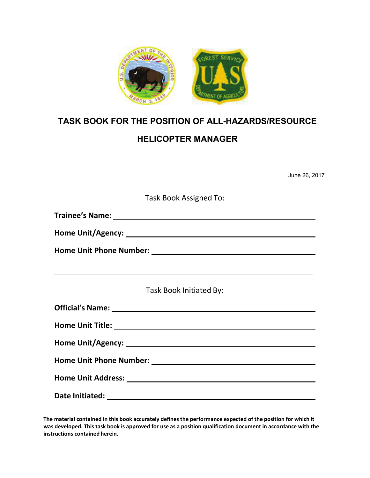

## **TASK BOOK FOR THE POSITION OF ALL-HAZARDS/RESOURCE**

# **HELICOPTER MANAGER**

June 26, 2017

Task Book Assigned To:

**Trainee's Name:** 

**Home Unit/Agency:** 

**Home Unit Phone Number:**

Task Book Initiated By:

| Date Initiated: |
|-----------------|

**The material contained in this book accurately defines the performance expected of the position for which it was developed. This task book is approved for use as a position qualification document in accordance with the instructions contained herein.**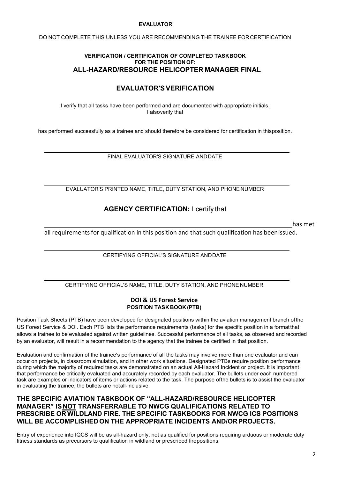#### **EVALUATOR**

DO NOT COMPLETE THIS UNLESS YOU ARE RECOMMENDING THE TRAINEE FORCERTIFICATION

#### **VERIFICATION / CERTIFICATION OF COMPLETED TASKBOOK FOR THE POSITION OF: ALL-HAZARD/RESOURCE HELICOPTER MANAGER FINAL**

### **EVALUATOR'SVERIFICATION**

I verify that all tasks have been performed and are documented with appropriate initials. I alsoverify that

has performed successfully as a trainee and should therefore be considered for certification in thisposition.

FINAL EVALUATOR'S SIGNATURE ANDDATE

EVALUATOR'S PRINTED NAME, TITLE, DUTY STATION, AND PHONENUMBER

### **AGENCY CERTIFICATION:** I certify that

has met

all requirementsfor qualification in this position and that such qualification has beenissued.

CERTIFYING OFFICIAL'S SIGNATURE ANDDATE

CERTIFYING OFFICIAL'S NAME, TITLE, DUTY STATION, AND PHONE NUMBER

#### **DOI & US Forest Service POSITION TASK BOOK (PTB)**

Position Task Sheets (PTB) have been developed for designated positions within the aviation management branch ofthe US Forest Service & DOI. Each PTB lists the performance requirements (tasks) for the specific position in a formatthat allows a trainee to be evaluated against written guidelines. Successful performance of all tasks, as observed and recorded by an evaluator, will result in a recommendation to the agency that the trainee be certified in that position.

Evaluation and confirmation of the trainee's performance of all the tasks may involve more than one evaluator and can occur on projects, in classroom simulation, and in other work situations. Designated PTBs require position performance during which the majority of required tasks are demonstrated on an actual All-Hazard Incident or project. It is important that performance be critically evaluated and accurately recorded by each evaluator. The bullets under each numbered task are examples or indicators of items or actions related to the task. The purpose ofthe bullets is to assist the evaluator in evaluating the trainee; the bullets are notall-inclusive.

### **THE SPECIFIC AVIATION TASKBOOK OF "ALL-HAZARD/RESOURCE HELICOPTER MANAGER" ISNOT TRANSFERRABLE TO NWCG QUALIFICATIONS RELATED TO PRESCRIBE OR WILDLAND FIRE. THE SPECIFIC TASKBOOKS FOR NWCG ICS POSITIONS WILL BE ACCOMPLISHED ON THE APPROPRIATE INCIDENTS AND/ORPROJECTS.**

Entry of experience into IQCS will be as all-hazard only, not as qualified for positions requiring arduous or moderate duty fitness standards as precursors to qualification in wildland or prescribed firepositions.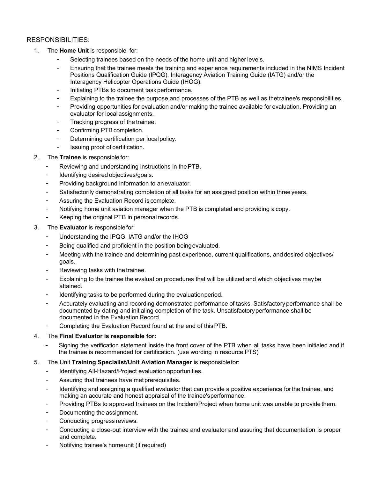### RESPONSIBILITIES:

- 1. The **Home Unit** is responsible for:
	- Selecting trainees based on the needs of the home unit and higher levels.
	- Ensuring that the trainee meets the training and experience requirements included in the NIMS Incident Positions Qualification Guide (IPQG), Interagency Aviation Training Guide (IATG) and/or the Interagency Helicopter Operations Guide (IHOG).
	- Initiating PTBs to document task performance.
	- Explaining to the trainee the purpose and processes of the PTB as well as thetrainee's responsibilities.
	- Providing opportunities for evaluation and/or making the trainee available for evaluation. Providing an evaluator for localassignments.
	- Tracking progress of the trainee.
	- Confirming PTB completion.
	- Determining certification per local policy.
	- Issuing proof of certification.
- 2. The **Trainee** is responsiblefor:
	- Reviewing and understanding instructions in the PTB.
	- Identifying desired objectives/goals.
	- Providing background information to an evaluator.
	- Satisfactorily demonstrating completion of all tasks for an assigned position within three years.
	- Assuring the Evaluation Record is complete.
	- Notifying home unit aviation manager when the PTB is completed and providing acopy.
	- Keeping the original PTB in personal records.
- 3. The **Evaluator** is responsiblefor:
	- Understanding the IPQG, IATG and/or the IHOG
	- Being qualified and proficient in the position beingevaluated.
	- Meeting with the trainee and determining past experience, current qualifications, and desired objectives/ goals.
	- Reviewing tasks with the trainee.
	- Explaining to the trainee the evaluation procedures that will be utilized and which objectives may be attained.
	- Identifying tasks to be performed during the evaluation period.
	- Accurately evaluating and recording demonstrated performance of tasks. Satisfactoryperformance shall be documented by dating and initialing completion of the task. Unsatisfactoryperformance shall be documented in the Evaluation Record.
	- Completing the Evaluation Record found at the end of this PTB.

#### 4. The **Final Evaluator is responsible for:**

- Signing the verification statement inside the front cover of the PTB when all tasks have been initialed and if the trainee is recommended for certification. (use wording in resource PTS)
- 5. The Unit **Training Specialist/Unit Aviation Manager** is responsiblefor:
	- Identifying All-Hazard/Project evaluation opportunities.
	- Assuring that trainees have metprerequisites.
	- Identifying and assigning a qualified evaluator that can provide a positive experience for the trainee, and making an accurate and honest appraisal of the trainee'sperformance.
	- Providing PTBs to approved trainees on the Incident/Project when home unit was unable to provide them.
	- Documenting the assignment.
	- Conducting progress reviews.
	- Conducting a close-out interview with the trainee and evaluator and assuring that documentation is proper and complete.
	- Notifying trainee's homeunit (if required)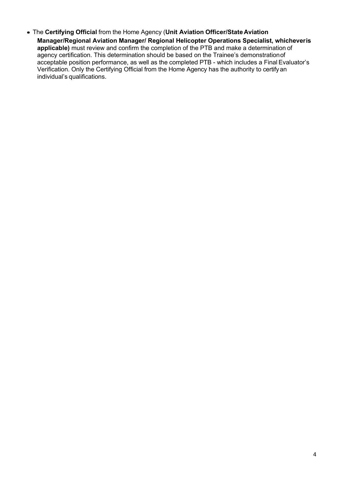The **Certifying Official** from the Home Agency (**Unit Aviation Officer/State Aviation Manager/Regional Aviation Manager/ Regional Helicopter Operations Specialist, whicheveris applicable)** must review and confirm the completion of the PTB and make a determination of agency certification. This determination should be based on the Trainee's demonstrationof acceptable position performance, as well as the completed PTB - which includes a Final Evaluator's Verification. Only the Certifying Official from the Home Agency has the authority to certify an individual's qualifications.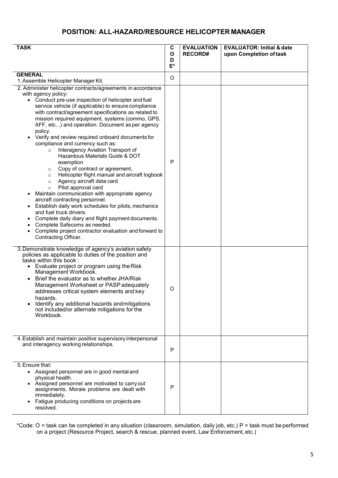## **POSITION: ALL-HAZARD/RESOURCE HELICOPTER MANAGER**

| <b>TASK</b>                                                                                                                                                                                                                                                                                                                                                                                                                                                                                                                                                                                                                                                                                                                                                                                                                                                                                                                                                                                                                                                                                           | C<br>O<br>D<br>E* | <b>EVALUATION</b><br><b>RECORD#</b> | <b>EVALUATOR: Initial &amp; date</b><br>upon Completion of task |
|-------------------------------------------------------------------------------------------------------------------------------------------------------------------------------------------------------------------------------------------------------------------------------------------------------------------------------------------------------------------------------------------------------------------------------------------------------------------------------------------------------------------------------------------------------------------------------------------------------------------------------------------------------------------------------------------------------------------------------------------------------------------------------------------------------------------------------------------------------------------------------------------------------------------------------------------------------------------------------------------------------------------------------------------------------------------------------------------------------|-------------------|-------------------------------------|-----------------------------------------------------------------|
| <b>GENERAL</b><br>1. Assemble Helicopter Manager Kit.                                                                                                                                                                                                                                                                                                                                                                                                                                                                                                                                                                                                                                                                                                                                                                                                                                                                                                                                                                                                                                                 | O                 |                                     |                                                                 |
| 2. Administer helicopter contracts/agreements in accordance<br>with agency policy:<br>• Conduct pre-use inspection of helicopter and fuel<br>service vehicle (if applicable) to ensure compliance<br>with contract/agreement specifications as related to<br>mission required equipment, systems (commo, GPS,<br>AFF, etc) and operation. Document as per agency<br>policy.<br>Verify and review required onboard documents for<br>compliance and currency such as:<br>Interagency Aviation Transport of<br>$\circ$<br>Hazardous Materials Guide & DOT<br>exemption<br>Copy of contract or agreement,<br>$\circ$<br>Helicopter flight manual and aircraft logbook<br>$\circ$<br>Agency aircraft data card<br>$\circ$<br>Pilot approval card<br>$\circ$<br>Maintain communication with appropriate agency<br>aircraft contracting personnel.<br>Establish daily work schedules for pilots, mechanics<br>and fuel truck drivers.<br>Complete daily diary and flight payment documents.<br>Complete Safecoms as needed.<br>Complete project contractor evaluation and forward to<br>Contracting Officer. | P                 |                                     |                                                                 |
| 3. Demonstrate knowledge of agency's aviation safety<br>policies as applicable to duties of the position and<br>tasks within this book:<br>Evaluate project or program using the Risk<br>Management Workbook.<br>Brief the evaluator as to whether JHA/Risk<br>$\bullet$<br>Management Worksheet or PASP adequately<br>addresses critical system elements and key<br>hazards.<br>Identify any additional hazards and mitigations<br>not included/or alternate mitigations for the<br>Workbook.                                                                                                                                                                                                                                                                                                                                                                                                                                                                                                                                                                                                        | O                 |                                     |                                                                 |
| 4. Establish and maintain positive supervisory interpersonal<br>and interagency working relationships.                                                                                                                                                                                                                                                                                                                                                                                                                                                                                                                                                                                                                                                                                                                                                                                                                                                                                                                                                                                                | P                 |                                     |                                                                 |
| 5. Ensure that:<br>• Assigned personnel are in good mental and<br>physical health.<br>• Assigned personnel are motivated to carry out<br>assignments. Morale problems are dealt with<br>immediately.<br>Fatigue producing conditions on projects are<br>resolved.                                                                                                                                                                                                                                                                                                                                                                                                                                                                                                                                                                                                                                                                                                                                                                                                                                     | P                 |                                     |                                                                 |

\*Code: O = task can be completed in any situation (classroom, simulation, daily job, etc.) P = task must be performed on a project (Resource Project, search & rescue, planned event, Law Enforcement, etc.)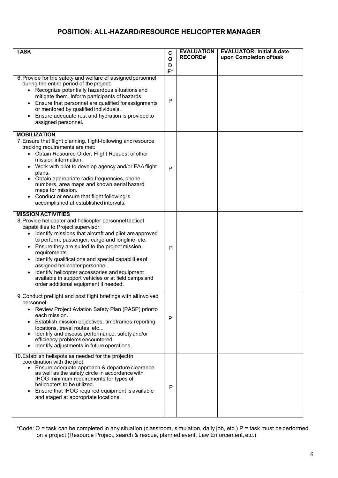## **POSITION: ALL-HAZARD/RESOURCE HELICOPTER MANAGER**

| <b>TASK</b>                                                                                                                                                                                                                                                                                                                                                                                                                                                 | C            | <b>EVALUATION</b><br><b>RECORD#</b> | <b>EVALUATOR: Initial &amp; date</b> |
|-------------------------------------------------------------------------------------------------------------------------------------------------------------------------------------------------------------------------------------------------------------------------------------------------------------------------------------------------------------------------------------------------------------------------------------------------------------|--------------|-------------------------------------|--------------------------------------|
|                                                                                                                                                                                                                                                                                                                                                                                                                                                             | O<br>D       |                                     | upon Completion of task              |
|                                                                                                                                                                                                                                                                                                                                                                                                                                                             | $E^*$        |                                     |                                      |
| 6. Provide for the safety and welfare of assigned personnel<br>during the entire period of the project:<br>• Recognize potentially hazardous situations and<br>mitigate them. Inform participants of hazards.<br>Ensure that personnel are qualified for assignments<br>$\bullet$<br>or mentored by qualified individuals.<br>Ensure adequate rest and hydration is provided to<br>assigned personnel.                                                      | P            |                                     |                                      |
| <b>MOBILIZATION</b>                                                                                                                                                                                                                                                                                                                                                                                                                                         |              |                                     |                                      |
| 7. Ensure that flight planning, flight-following and resource<br>tracking requirements are met:<br>• Obtain Resource Order, Flight Request or other<br>mission information.<br>Work with pilot to develop agency and/or FAA flight<br>plans.<br>Obtain appropriate radio frequencies, phone<br>numbers, area maps and known aerial hazard<br>maps for mission.<br>Conduct or ensure that flight following is<br>accomplished at established intervals.      | P            |                                     |                                      |
| <b>MISSION ACTIVITIES</b><br>8. Provide helicopter and helicopter personnel tactical                                                                                                                                                                                                                                                                                                                                                                        |              |                                     |                                      |
| capabilities to Project supervisor:<br>Identify missions that aircraft and pilot areapproved<br>to perform; passenger, cargo and longline, etc.<br>Ensure they are suited to the project mission<br>requirements.<br>Identify qualifications and special capabilities of<br>assigned helicopter personnel.<br>Identify helicopter accessories and equipment<br>available in support vehicles or at field camps and<br>order additional equipment if needed. | P            |                                     |                                      |
| 9. Conduct preflight and post flight briefings with all involved                                                                                                                                                                                                                                                                                                                                                                                            |              |                                     |                                      |
| personnel:<br>Review Project Aviation Safety Plan (PASP) priorto<br>$\bullet$<br>each mission.<br>Establish mission objectives, timeframes, reporting<br>locations, travel routes, etc<br>Identify and discuss performance, safety and/or<br>efficiency problems encountered.<br>Identify adjustments in future operations.                                                                                                                                 | $\mathsf{P}$ |                                     |                                      |
| 10. Establish helispots as needed for the projectin<br>coordination with the pilot:<br>Ensure adequate approach & departure clearance<br>as well as the safety circle in accordance with<br>IHOG minimum requirements for types of<br>helicopters to be utilized.<br>Ensure that IHOG required equipment is available<br>and staged at appropriate locations.                                                                                               | P            |                                     |                                      |

\*Code: O = task can be completed in any situation (classroom, simulation, daily job, etc.) P = task must be performed on a project (Resource Project, search & rescue, planned event, Law Enforcement, etc.)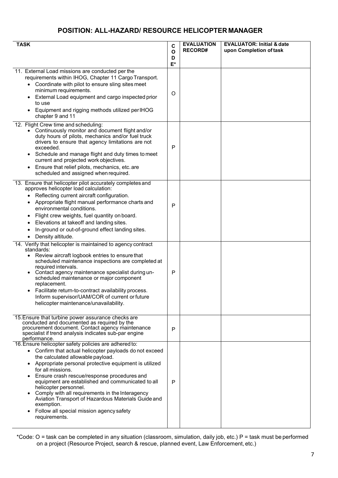## **POSITION: ALL-HAZARD/ RESOURCE HELICOPTER MANAGER**

| <b>TASK</b>                                                                                               | C          | <b>EVALUATION</b> | <b>EVALUATOR: Initial &amp; date</b> |
|-----------------------------------------------------------------------------------------------------------|------------|-------------------|--------------------------------------|
|                                                                                                           | O          | <b>RECORD#</b>    | upon Completion of task              |
|                                                                                                           | D<br>$E^*$ |                   |                                      |
|                                                                                                           |            |                   |                                      |
| 11. External Load missions are conducted per the<br>requirements within IHOG, Chapter 11 Cargo Transport. |            |                   |                                      |
| • Coordinate with pilot to ensure sling sites meet                                                        |            |                   |                                      |
| minimum requirements.                                                                                     |            |                   |                                      |
| External Load equipment and cargo inspected prior                                                         | O          |                   |                                      |
| to use                                                                                                    |            |                   |                                      |
| Equipment and rigging methods utilized perIHOG<br>chapter 9 and 11                                        |            |                   |                                      |
| 12. Flight Crew time and scheduling:                                                                      |            |                   |                                      |
| Continuously monitor and document flight and/or<br>duty hours of pilots, mechanics and/or fuel truck      |            |                   |                                      |
| drivers to ensure that agency limitations are not                                                         |            |                   |                                      |
| exceeded.                                                                                                 | P          |                   |                                      |
| Schedule and manage flight and duty times to meet                                                         |            |                   |                                      |
| current and projected work objectives.<br>Ensure that relief pilots, mechanics, etc. are                  |            |                   |                                      |
| scheduled and assigned when required.                                                                     |            |                   |                                      |
|                                                                                                           |            |                   |                                      |
| 13. Ensure that helicopter pilot accurately completes and<br>approves helicopter load calculation:        |            |                   |                                      |
| Reflecting current aircraft configuration.<br>$\bullet$                                                   |            |                   |                                      |
| Appropriate flight manual performance charts and                                                          |            |                   |                                      |
| environmental conditions.                                                                                 | P          |                   |                                      |
| Flight crew weights, fuel quantity on board.                                                              |            |                   |                                      |
| Elevations at takeoff and landing sites.                                                                  |            |                   |                                      |
| In-ground or out-of-ground effect landing sites.                                                          |            |                   |                                      |
| Density altitude.<br>$\bullet$                                                                            |            |                   |                                      |
| 14. Verify that helicopter is maintained to agency contract<br>standards:                                 |            |                   |                                      |
| Review aircraft logbook entries to ensure that<br>$\bullet$                                               |            |                   |                                      |
| scheduled maintenance inspections are completed at                                                        |            |                   |                                      |
| required intervals.<br>Contact agency maintenance specialist during un-                                   | P          |                   |                                      |
| scheduled maintenance or major component                                                                  |            |                   |                                      |
| replacement.                                                                                              |            |                   |                                      |
| Facilitate return-to-contract availability process.                                                       |            |                   |                                      |
| Inform supervisor/UAM/COR of current or future<br>helicopter maintenance/unavailability.                  |            |                   |                                      |
|                                                                                                           |            |                   |                                      |
| 15. Ensure that turbine power assurance checks are                                                        |            |                   |                                      |
| conducted and documented as required by the                                                               |            |                   |                                      |
| procurement document. Contact agency maintenance<br>specialist if trend analysis indicates sub-par engine | P          |                   |                                      |
| performance.                                                                                              |            |                   |                                      |
| 16. Ensure helicopter safety policies are adhered to:                                                     |            |                   |                                      |
| Confirm that actual helicopter payloads do not exceed<br>$\bullet$<br>the calculated allowable payload.   |            |                   |                                      |
| Appropriate personal protective equipment is utilized<br>$\bullet$                                        |            |                   |                                      |
| for all missions.                                                                                         |            |                   |                                      |
| Ensure crash rescue/response procedures and                                                               |            |                   |                                      |
| equipment are established and communicated to all<br>helicopter personnel.                                | P          |                   |                                      |
| Comply with all requirements in the Interagency                                                           |            |                   |                                      |
| Aviation Transport of Hazardous Materials Guide and                                                       |            |                   |                                      |
| exemption.                                                                                                |            |                   |                                      |
| Follow all special mission agency safety<br>requirements.                                                 |            |                   |                                      |
|                                                                                                           |            |                   |                                      |

\*Code: O = task can be completed in any situation (classroom, simulation, daily job, etc.) P = task must be performed on a project (Resource Project, search & rescue, planned event, Law Enforcement, etc.)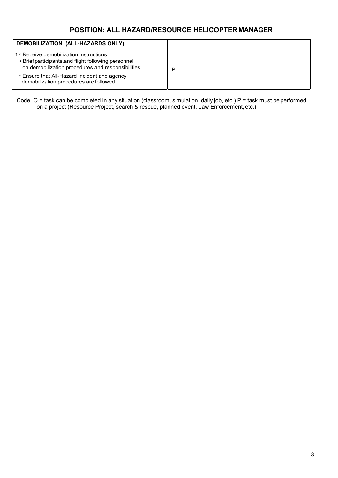## **POSITION: ALL HAZARD/RESOURCE HELICOPTER MANAGER**

| DEMOBILIZATION (ALL-HAZARDS ONLY)                                                                                                                      |   |  |
|--------------------------------------------------------------------------------------------------------------------------------------------------------|---|--|
| 17. Receive demobilization instructions.<br>• Brief participants, and flight following personnel<br>on demobilization procedures and responsibilities. | D |  |
| • Ensure that All-Hazard Incident and agency<br>demobilization procedures are followed.                                                                |   |  |

Code: O = task can be completed in any situation (classroom, simulation, daily job, etc.) P = task must be performed on a project (Resource Project, search & rescue, planned event, Law Enforcement, etc.)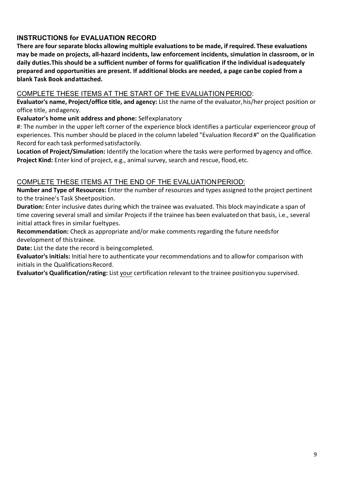## **INSTRUCTIONS for EVALUATION RECORD**

**There are four separate blocks allowing multiple evaluations to be made, if required. These evaluations may be made on projects, all-hazard incidents, law enforcement incidents, simulation in classroom, or in daily duties.This should be a sufficient number of forms for qualification if the individual isadequately prepared and opportunities are present. If additional blocks are needed, a page can be copied from a blank Task Book andattached.** 

### COMPLETE THESE ITEMS AT THE START OF THE EVALUATION PERIOD:

**Evaluator's name, Project/office title, and agency:** List the name of the evaluator,his/her project position or office title, andagency.

**Evaluator's home unit address and phone:** Selfexplanatory

#: The number in the upper left corner of the experience block identifies a particular experienceor group of experiences. This number should be placed in the column labeled "Evaluation Record#" on the Qualification Record for each task performed satisfactorily.

**Location of Project/Simulation:** Identify the location where the tasks were performed byagency and office. **Project Kind:** Enter kind of project, e.g., animal survey, search and rescue, flood,etc.

### COMPLETE THESE ITEMS AT THE END OF THE EVALUATIONPERIOD:

**Number and Type of Resources:** Enter the number of resources and types assigned tothe project pertinent to the trainee's Task Sheetposition.

**Duration:** Enter inclusive dates during which the trainee was evaluated. This block mayindicate a span of time covering several small and similar Projects if the trainee has been evaluatedon that basis, i.e., several initial attack fires in similar fueltypes.

**Recommendation:** Check as appropriate and/or make comments regarding the future needsfor development of thistrainee.

**Date:** List the date the record is beingcompleted.

**Evaluator's initials:** Initial here to authenticate your recommendations and to allowfor comparison with initials in the QualificationsRecord.

**Evaluator's Qualification/rating:** List your certification relevant to the trainee positionyou supervised.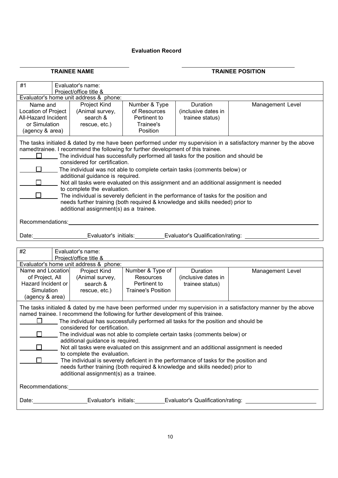#### **Evaluation Record**

### **TRAINEE NAME TRAINEE POSITION**

| #1                                                                                                                                                                                                                                                                                                                                                                                                                                                                                                                                                                                                                                                                                                                                                                                                            |  | Evaluator's name:<br>Project/office title &                  |                                                                        |                                                    |                  |  |
|---------------------------------------------------------------------------------------------------------------------------------------------------------------------------------------------------------------------------------------------------------------------------------------------------------------------------------------------------------------------------------------------------------------------------------------------------------------------------------------------------------------------------------------------------------------------------------------------------------------------------------------------------------------------------------------------------------------------------------------------------------------------------------------------------------------|--|--------------------------------------------------------------|------------------------------------------------------------------------|----------------------------------------------------|------------------|--|
| Evaluator's home unit address & phone:                                                                                                                                                                                                                                                                                                                                                                                                                                                                                                                                                                                                                                                                                                                                                                        |  |                                                              |                                                                        |                                                    |                  |  |
| Name and<br><b>Location of Project</b><br>All-Hazard Incident<br>or Simulation<br>(agency & area)                                                                                                                                                                                                                                                                                                                                                                                                                                                                                                                                                                                                                                                                                                             |  | Project Kind<br>(Animal survey,<br>search &<br>rescue, etc.) | Number & Type<br>of Resources<br>Pertinent to<br>Trainee's<br>Position | Duration<br>(inclusive dates in<br>trainee status) | Management Level |  |
| The tasks initialed & dated by me have been performed under my supervision in a satisfactory manner by the above<br>namedtrainee. I recommend the following for further development of this trainee.<br>The individual has successfully performed all tasks for the position and should be<br>considered for certification.<br>The individual was not able to complete certain tasks (comments below) or<br>additional guidance is required.<br>Not all tasks were evaluated on this assignment and an additional assignment is needed<br>to complete the evaluation.<br>The individual is severely deficient in the performance of tasks for the position and<br>needs further training (both required & knowledge and skills needed) prior to<br>additional assignment(s) as a trainee.<br>Recommendations: |  |                                                              |                                                                        |                                                    |                  |  |
| Date:                                                                                                                                                                                                                                                                                                                                                                                                                                                                                                                                                                                                                                                                                                                                                                                                         |  | Evaluator's initials:                                        |                                                                        | Evaluator's Qualification/rating:                  |                  |  |
| #2                                                                                                                                                                                                                                                                                                                                                                                                                                                                                                                                                                                                                                                                                                                                                                                                            |  | Evaluator's name:<br>Project/office title &                  |                                                                        |                                                    |                  |  |
|                                                                                                                                                                                                                                                                                                                                                                                                                                                                                                                                                                                                                                                                                                                                                                                                               |  | Evaluator's home unit address & phone:                       |                                                                        |                                                    |                  |  |
| Name and Location<br>Project Kind<br>Number & Type of<br>Duration<br>of Project, All<br>(Animal survey,<br>Resources<br>(inclusive dates in<br>Hazard Incident or<br>Pertinent to<br>search &<br>trainee status)<br>Simulation<br><b>Trainee's Position</b><br>rescue, etc.)<br>(agency & area)                                                                                                                                                                                                                                                                                                                                                                                                                                                                                                               |  |                                                              | Management Level                                                       |                                                    |                  |  |
| The tasks initialed & dated by me have been performed under my supervision in a satisfactory manner by the above<br>named trainee. I recommend the following for further development of this trainee.<br>The individual has successfully performed all tasks for the position and should be<br>considered for certification.<br>The individual was not able to complete certain tasks (comments below) or<br>additional guidance is required.<br>Not all tasks were evaluated on this assignment and an additional assignment is needed<br>to complete the evaluation.<br>$\Box$<br>The individual is severely deficient in the performance of tasks for the position and<br>needs further training (both required & knowledge and skills needed) prior to<br>additional assignment(s) as a trainee.          |  |                                                              |                                                                        |                                                    |                  |  |
| Recommendations: Network and Contract and Contract and Contract and Contract and Contract and Contract and Contract and Contract and Contract and Contract and Contract and Contract and Contract and Contract and Contract an                                                                                                                                                                                                                                                                                                                                                                                                                                                                                                                                                                                |  |                                                              |                                                                        |                                                    |                  |  |
| Date: Evaluator's initials: Evaluator's Coaluator's Qualification/rating:                                                                                                                                                                                                                                                                                                                                                                                                                                                                                                                                                                                                                                                                                                                                     |  |                                                              |                                                                        |                                                    |                  |  |